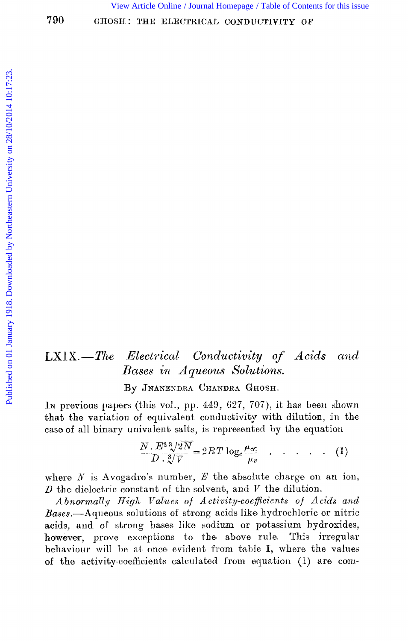View Article Online / Journal Homepage / Table of Contents for this issue

#### Conductivity of Acids and  $LXIX. - The$ Electrical Bases in Aqueous Solutions.

By JNANENDRA CHANDRA GHOSH.

In previous papers (this vol., pp. 449, 627, 707), it has been shown that the variation of equivalent conductivity with dilution, in the case of all binary univalent salts, is represented by the equation

$$
\frac{N}{D} \cdot \frac{E^2 \sqrt[3]{2N}}{3\sqrt[3]{V}} = 2RT \log_c \frac{\mu_{\infty}}{\mu_v} \quad . \quad . \quad . \quad . \quad . \tag{1}
$$

where  $N$  is Avogadro's number,  $E$  the absolute charge on an ion,  $D$  the dielectric constant of the solvent, and  $V$  the dilution.

Abnormally High Values of Activity-coefficients of Acids and Bases.- Aqueous solutions of strong acids like hydrochloric or nitric acids, and of strong bases like sodium or potassium hydroxides, however, prove exceptions to the above rule. This irregular behaviour will be at once evident from table I, where the values of the activity-coefficients calculated from equation (1) are com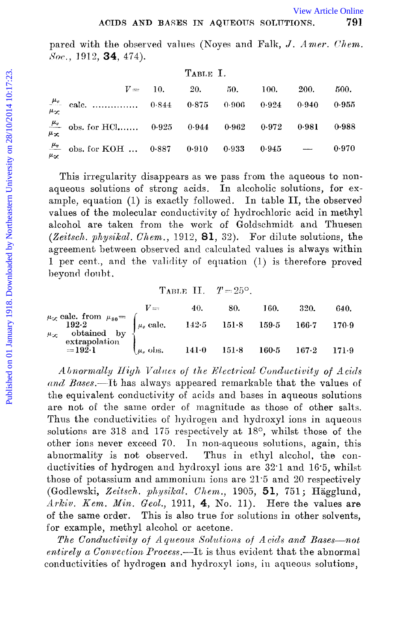pared with the observed values (Noyes and Falk, J. Amer. Chem. Soc., 1912, **34**, 474).

|               |                                                          |            | TABLE I. |       |           |       |       |
|---------------|----------------------------------------------------------|------------|----------|-------|-----------|-------|-------|
|               |                                                          | $V = 10$ . | 20.      | 50.   | 100.      | 200.  | 500.  |
| سهدلا         | $\frac{\mu_v}{\sigma}$ cale.  0.844 0.875 0.906 0.924    |            |          |       |           | 0.940 | 0.955 |
| $\frac{1}{2}$ | $\frac{\mu_v}{\mu}$ obs. for HCl 0.925 0.944 0.962 0.972 |            |          |       |           | 0.981 | 0.988 |
| uα            | $\frac{\mu_v}{\sigma}$ obs. for KOH  0.887 0.910         |            |          | 0.933 | $0.945 -$ |       | 0.970 |

This irregularity disappears as we pass from the aqueous to nonaqueous solutions of strong acids. In alcoholic solutions, for example, equation (1) is exactly followed. In table II, the observed values of the molecular conductivity of hydrochloric acid in methyl alcohol are taken from the work of Goldschmidt and Thuesen (Zeitsch. physikal. Chem., 1912, 81, 32). For dilute solutions, the agreement between observed and calculated values is always within 1 per cent., and the validity of equation (1) is therefore proved beyond doubt.

> TABLE II.  $T=25^{\circ}$ .

|                                                                                                                            | V ===                        | 40. | -80. | 160.                    | 320.  | 640.    |
|----------------------------------------------------------------------------------------------------------------------------|------------------------------|-----|------|-------------------------|-------|---------|
| $\mu_{\infty}$ cale. from $\mu_{80} = \begin{cases} \mu_v \text{ calc.} \ 192.2 \end{cases}$<br>$\mu_{\infty}$ obtained by |                              |     |      | 142.5 151.8 159.5 166.7 |       | - 170.9 |
| extrapolation<br>$=192.1$                                                                                                  | $\mu_{\nu}$ obs. 141.0 151.8 |     |      | 160·5                   | 167.2 | 171.9   |

Abnormally High Values of the Electrical Conductivity of Acids and Bases.—It has always appeared remarkable that the values of the equivalent conductivity of acids and bases in aqueous solutions are not of the same order of magnitude as those of other salts. Thus the conductivities of hydrogen and hydroxyl ions in aqueous solutions are 318 and 175 respectively at 18°, whilst those of the other ions never exceed 70. In non-aqueous solutions, again, this abnormality is not observed. Thus in ethyl alcohol, the conductivities of hydrogen and hydroxyl ions are 32.1 and 16.5, whilst those of potassium and ammonium ions are 21.5 and 20 respectively (Godlewski, Zeitsch. physikal. Chem., 1905, 51, 751; Hägglund, Arkiv. Kem. Min. Geol., 1911, 4, No. 11). Here the values are of the same order. This is also true for solutions in other solvents, for example, methyl alcohol or acetone.

The Conductivity of Aqueous Solutions of Acids and Bases-not entirely a Convection Process.—It is thus evident that the abnormal conductivities of hydrogen and hydroxyl ions, in aqueous solutions,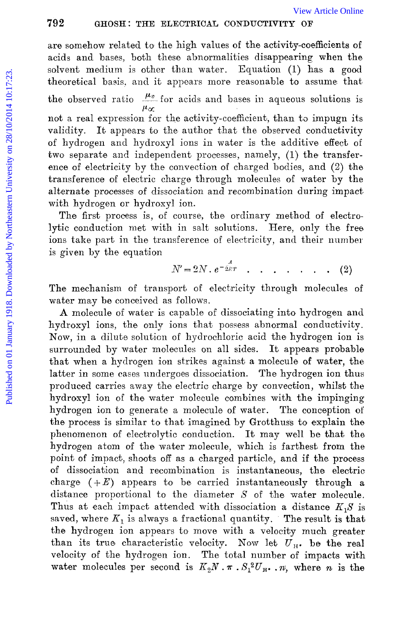are somehow related to the high values of the activity-coefficients of acids and bases, both these abnormalities disappearing when the solvent medium is other than water. Equation (1) has a good theoretical basis, and it appears more reasonable to assume that the observed ratio  $\frac{\mu_v}{\sigma}$  for acids and bases in aqueous solutions is not a real expression for the activity-coefficient, than to impugn its validity. It appears to the author that the observed conductivity of hydrogen and hydroxyl ions in water is the additive effect of two separate and independent processes, namely, (1) the transference of electricity by the convection of charged bodies, and (2) the transference of electric charge through molecules of water by the alternate processes of dissociation and recombination during impact with hydrogen or hydroxyl ion. 792 GHOSH: THE ELECTRICAL CONDUCTIVITY OF wirds Online are somehow related to the high values of the activity-coefficients of acids and bases, both these abnormalities disappearing when the solvent medium is solvent mediu

The first process is, of course, the ordinary method of electrolytic conduction met with in salt solutions. Here, only the free ions take part in the transference of electricity, and their number is given by the equation

$$
N'=2N\cdot e^{-\frac{A}{2K}t}\qquad \qquad \cdots \qquad \qquad (2)
$$

The mechanism of transport of electricity through molecules of water may be conceived as follows.

A molecule of water is capable of dissociating into hydrogen and hydroxyl ions, the only ions that possess abnormal conductivity. Now, in a dilute solution of hydrochloric acid the hydrogen ion is surrounded by water molecules on all sides. It appears probable that when a hydrogen ion strikes against a molecule of water, the latter in some cases undergoes dissociation. The hydrogen ion thus produced carries away the electric charge by convection, whilst the hydroxyl ion of the water molecule combines with the impinging hydrogen ion to generate a molecule of water. The conception **of**  the process is similar to that imagined by Grotthuss to explain the phenomenon of electrolytic conduction. It may well be that the hydrogen atom of the water molecnle, which is farthest from the point of impact, shoots off as a charged particle, and if the process of dissociation and recombination is instantaneous, the electric charge  $(+E)$  appears to be carried instantaneously through a distance proportional to the diameter *S* of the water molecule. Thus at each impact attended with dissociation a distance  $K_1S$  is saved, where  $K_1$  is always a fractional quantity. The result is that **the** hydrogen ion appears to move with a velocity much greater than its true characteristic velocity. Now let  $\vec{U}_{\text{H}}$ , be the real velocity of the hydrogen ion. The total number of impacts with water molecules per second is  $K_2N \cdot \pi \cdot S_1^2 U_{\pi} \cdot \pi$ , where *n* is the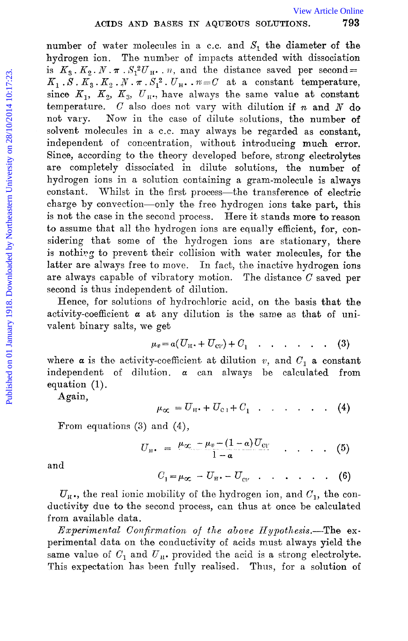number of water molecules in a c.c. and  $S<sub>1</sub>$  the diameter of the hydrogen ion. The number of impacts attended with dissociation is  $K_3$ ,  $K_2$ ,  $N \cdot \pi$ ,  $S_1^2 U_{\text{H}}$ ,  $n$ , and the distance saved per second=  $K_1$ ,  $S$ ,  $K_3$ ,  $K_2$ ,  $N$ ,  $\pi$ ,  $S_1^2$ ,  $U_H$ ,  $n = C$  at a constant temperature, since  $K_1$ ,  $K_2$ ,  $K_3$ ,  $U_{\text{H1}}$ , have always the same value at constant temperature. *C* also does not vary with dilution if *n* and *N* do not vary. Now in the case of dilute solutions, the number **of**  solvent molecules in a c.c. may always be regarded as constant, independent of concentration, without introducing much error. Since, according to the theory developed before, strong electrolytes are completely dissociated in dilute solutions, the number **of**  hydrogen ions in a solution containing a gram-molecule is always constant. Whilst in the first process—the transference of electric charge by convection-only the free hydrogen ions take part, this is not the case in the second process. Here it stands more to reason to assume that all the hydrogen ions are equally efficient, for, considering that some of the hydrogen ions are stationary, there is nothing to prevent their collision with water molecules, for the latter are always free to move. In fact, the inactive hydrogen ions are always capable of vibratory motion. The distance  $C$  saved per second is thus independent of dilution. ACUES AND BASES IN AQUEOUS SOLUTIONS. The hydrogen ion. The number of mpacts attended with dissociation is  $K_1, S, K_2, N, \pi, S_1^2, U_1, \ldots, m = U$  at a constant temperature,  $K_1, S, K_2, N, \pi, S_1^2, U_1, \ldots, m = U$  at a constant tem

Hence, for solutions of hydrochloric acid, on the basis that the activity-coefficient  $\alpha$  at any dilution is the same as that of univalent binary salts, we get

$$
\mu_v = a(U_{\rm H} \cdot + U_{\rm CIV}) + C_1 \quad . \quad . \quad . \quad . \quad . \tag{3}
$$

where  $\alpha$  is the activity-coefficient at dilution *v*, and  $C_1$  **a** constant independent of dilution.  $\alpha$  can always be calculated from equation (1).

Again,

$$
\mu_{\alpha} = U_{\text{H}} \cdot + U_{\text{c1}} + C_1 \quad \dots \quad \dots \quad . \quad . \quad (4)
$$

From equations (3) and (4),

$$
U_{\rm H} = \frac{\mu_{\alpha} - \mu_v - (1-a)U_{\rm Cl}}{1-a} \qquad . \qquad (5)
$$

and

$$
C_1 = \mu_{\infty} - U_{\text{H}} - U_{\text{cv}} \quad \dots \quad \dots \quad . \quad . \quad . \quad (6)
$$

 $U_{\rm H}$ ., the real ionic mobility of the hydrogen ion, and  $C_1$ , the conductivity due to the second process, can thus at once be calculated from available data.

Experimental Confirmation of the above Hypothesis.-The experimental data on the conductivity of acids must, always yield the same value of  $C_1$  and  $U_{\mu}$ , provided the acid is a strong electrolyte. This expectation has been fully realised. Thus, for a solution of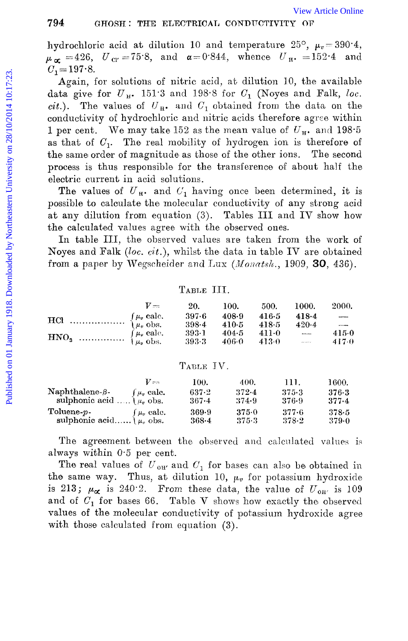hydrochloric acid at dilution 10 and temperature 25°,  $\mu_v = 390.4$ ,  $\mu_{\alpha} = 426$ ,  $U_{\alpha} = 75.8$ , and  $\alpha = 0.844$ , whence  $U_{\pi} = 152.4$  and  $C_1 = 197.8$ .

Again, for solutions of nitric acid, at dilution 10, the available data give for  $U_{H^*}$ . 151.3 and 198.8 for  $C_1$  (Noyes and Falk, loc. cit.). The values of  $U_{\mathbb{H}}$  and  $C_1$  obtained from the data on the conductivity of hydrochloric and nitric acids therefore agree within 1 per cent. We may take 152 as the mean value of  $U_{\rm H}$ , and 198.5 as that of  $C_1$ . The real mobility of hydrogen ion is therefore of the same order of magnitude as those of the other ions. The second process is thus responsible for the transference of about half the electric current in acid solutions.

The values of  $U_{\rm R}$ . and  $C_1$  having once been determined, it is possible to calculate the molecular conductivity of any strong acid at any dilution from equation (3). Tables III and IV show how the calculated values agree with the observed ones.

In table III, the observed values are taken from the work of Noyes and Falk (loc.  $cit.$ ), whilst the data in table IV are obtained from a paper by Wegscheider and Lux (Monatsh., 1909, 30, 436).

### TABLE III.

|                                                                                      | $V =$ | - 20.     | 100.    | 500.      | - 1000.           | -2000.                   |
|--------------------------------------------------------------------------------------|-------|-----------|---------|-----------|-------------------|--------------------------|
|                                                                                      |       | 397.6     | 408.9   | 416.5     | 418.4             | $\overline{\phantom{a}}$ |
|                                                                                      |       | $398 - 4$ | $410-5$ | 418.5     | $420-4$           | $\sim$                   |
| $\text{HNO}_3$ $\begin{cases} \mu_v \text{ calc.} \\ \mu_v \text{ obs.} \end{cases}$ |       | $393-1$   | 404.5   | $411 - 0$ | <b>Belleville</b> | 415.0                    |
|                                                                                      |       | -393-3    | 406.0   | $-413.0$  | <b>Service</b> of | $-417.0$                 |

### TABLE IV.

|                                     | $v_{\infty}$       | 100.      | 400.      | 111.    | 1600. |
|-------------------------------------|--------------------|-----------|-----------|---------|-------|
| $\textbf{Naphthalene-}\beta$ -      | $\int \mu_v$ calc. | 637-2     | $372 - 4$ | $375-3$ | 376.3 |
| sulphonic acid $\dots$ $\mu_r$ obs. |                    | $367 - 4$ | 374.9     | 376-9   | 377.4 |
| $\mathrm{Toluene\text{-}}p\text{-}$ | $\int \mu_v$ calc. | 369.9     | $375 - 0$ | -377-6  | 378.5 |
| sulphonic acid $\mu_{v}$ obs.       |                    | $368 - 4$ | 375.3     | 378-2   | 379.0 |

The agreement between the observed and calculated values is always within 0.5 per cent.

The real values of  $U_{\text{ow}}$  and  $C_1$  for bases can also be obtained in the same way. Thus, at dilution 10,  $\mu_v$  for potassium hydroxide is 213;  $\mu_{\alpha}$  is 240.2. From these data, the value of  $U_{.0H'}$  is 109 and of  $C_1$  for bases 66. Table V shows how exactly the observed values of the molecular conductivity of potassium hydroxide agree with those calculated from equation (3).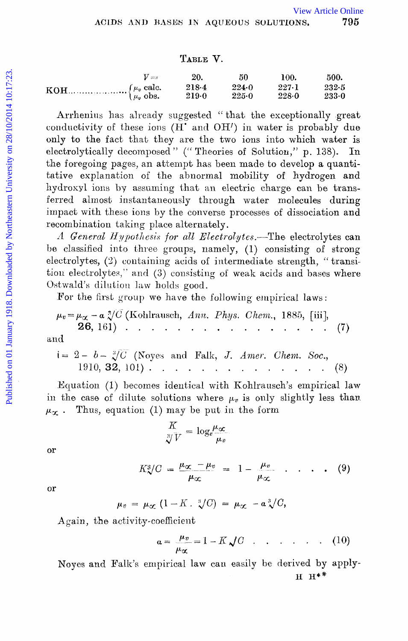# TABLE V.

| $V = -$ | 20.            | 50             | 100.               | 500.           |
|---------|----------------|----------------|--------------------|----------------|
|         | 218.4<br>219.0 | 224.0<br>225.0 | 227.1<br>$228 - 0$ | 232.5<br>233.0 |

Arrhenius has already suggested "that the exceptionally great conductivity of these ions (H' and OH') in water is probably due only to the fact that they are the two ions into which water is electrolytically decomposed" ("Theories of Solution," p. 138). In the foregoing pages, an attempt has been made to develop a quantitative explanation of the abnormal mobility of hydrogen and hydroxyl ions by assuming that an electric charge can be transferred almost instantaneously through water molecules during impact with these ions by the converse processes of dissociation and recombination taking place alternately.

A General Hypothesis for all Electrolytes.—The electrolytes can be classified into three groups, namely, (1) consisting of strong electrolytes, (2) containing acids of intermediate strength, "transition electrolytes," and (3) consisting of weak acids and bases where Ostwald's dilution law holds good.

For the first group we have the following empirical laws:

and

Equation (1) becomes identical with Kohlrausch's empirical law in the case of dilute solutions where  $\mu_v$  is only slightly less than Thus, equation (1) may be put in the form  $\mu_{\alpha}$ .

$$
\frac{K}{\sqrt[3]{V}}=\log_e \frac{\mu_\infty}{\mu_v}
$$

or

$$
K_{\infty}^3/C = \frac{\mu_{\infty} - \mu_v}{\mu_{\infty}} = 1 - \frac{\mu_v}{\mu_{\infty}} \qquad \qquad (9)
$$

or

$$
\mu_v = \mu_\infty (1 - K \cdot \sqrt[3]{C}) = \mu_\infty - a \sqrt[3]{C},
$$

Again, the activity-coefficient

$$
a = \frac{\mu_v}{\mu_\alpha} = 1 - K \sqrt{C} \quad . \quad . \quad . \quad . \quad . \quad . \tag{10}
$$

Noyes and Falk's empirical law can easily be derived by apply- $H H^*$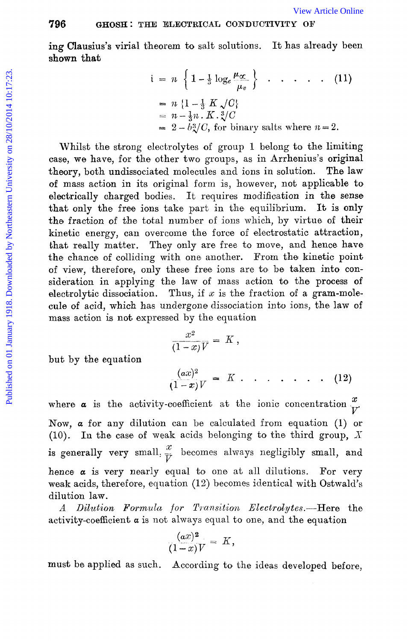ing Clausius's virial theorem to salt solutions. **shown that**  It has already been

$$
i = n \left\{ 1 - \frac{1}{3} \log_e \frac{\mu_{\alpha}}{\mu_v} \right\} \cdot \cdot \cdot \cdot \cdot (11)
$$
  
=  $n \left\{ 1 - \frac{1}{3} K \sqrt{C} \right\}$   
=  $n - \frac{1}{3} n \cdot K \cdot \sqrt[3]{C}$   
=  $2 - b \sqrt[3]{C}$ , for binary salts where  $n = 2$ .

Whilst the strong electrolytes of group 1 belong to the limiting case, we have, for the other two groups, as in Arrhenius's original theory, both undissociated molecules and ions in solution. The law of mass action in its original form is, however, not applicable to' electrically charged bodies. It requires modification in the sense that only the free ions take part in the equilibrium. It is only the fraction of the total number of ions which, by virtue of their kinetic energy, can overcome the force of electrostatic attraction, that really matter. They only are free to move, and hence have the chance of colliding with one another. From the kinetic point of view, therefore, only these free ions are to be taken into consideration in applying the law of mass action to the process **of**  electrolytic dissociation. Thus, if  $x$  is the fraction of a gram-molecule of acid, which has undergone dissociation into ions, the law of mass action is not expressed by the equation 796 **GIOSET:** THE ELECTRICAL CONDUCTIVITY OF<br>
ing Clausius's virial theorem to salt solutions. It has already been<br>
shown that<br>  $i = n \left\{1 - \frac{1}{3} \log_e \frac{\mu_{\infty}}{\mu_0}\right\}$ .....(11)<br>  $= n \left\{1 - \frac{1}{3} E \sqrt{\frac{D}{\mu_0}}\right\}$ <br>  $= n \left\{1$ 

$$
\frac{x^2}{(1-x)\mathcal{V}} = K
$$

but by the equation

$$
\frac{(ax)^2}{(1-x)V} = K \cdot \cdot \cdot \cdot \cdot \cdot (12)
$$

where  $\alpha$  is the activity-coefficient at the ionic concentration  $\frac{x}{V}$ Now, *a* for any dilution can be calculated from equation (1) or (10). In the case of weak acids belonging to the third group,  $X$ is generally very small,  $\frac{x}{V}$  becomes always negligibly small, and hence  $\alpha$  is very nearly equal to one at all dilutions. For very weak acids, therefore, equation  $(12)$  becomes identical with Ostwald's dilution law.

*A Dilution Formula for T? ansition* Electrolytes.-Here the activity-coefficient  $\alpha$  is not always equal to one, and the equation

$$
\frac{(ax)^2}{(1-x)V} = K,
$$

must be applied as such. According to the ideas developed before,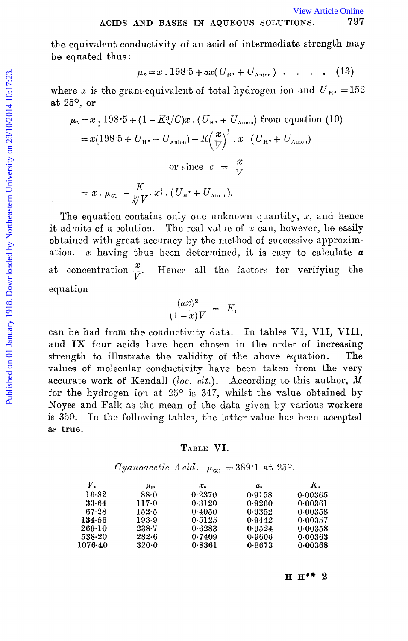the equivalent conductivity of an acid of intermediate strength may be equated thus:

$$
\mu_v = x \cdot 198.5 + \alpha x (U_{\text{H}} \cdot + U_{\text{Anion}}) \cdot \ldots \cdot (13)
$$

where x is the gram-equivalent of total hydrogen ion and  $U_{\text{H}}$  = 152 at  $25^{\circ}$ , or

$$
\mu_v = x \cdot 198.5 + (1 - K_{\gamma}^3/C)x \cdot (U_{\rm H} + U_{\rm Anion}) \text{ from equation (10)}
$$
  
=  $x(198.5 + U_{\rm H} + U_{\rm Anion}) - K(\frac{x}{V})^{\frac{1}{3}} \cdot x \cdot (U_{\rm H} + U_{\rm Anion})$   
or since  $c = \frac{x}{V}$   
=  $x \cdot \mu_{\infty} - \frac{K}{\sqrt[3]{V}} \cdot x^{\frac{4}{3}} \cdot (U_{\rm H} + U_{\rm Anion}).$ 

The equation contains only one unknown quantity,  $x$ , and hence it admits of a solution. The real value of  $x$  can, however, be easily obtained with great accuracy by the method of successive approxim $x$  having thus been determined, it is easy to calculate  $a$ ation. at concentration  $\frac{x}{V}$ . Hence all the factors for verifying the equation

$$
\frac{(ax)^2}{(1-x)V} = K,
$$

can be had from the conductivity data. In tables VI, VII, VIII, and IX four acids have been chosen in the order of increasing strength to illustrate the validity of the above equation.  $The$ values of molecular conductivity have been taken from the very accurate work of Kendall (loc. cit.). According to this author,  $M$ for the hydrogen ion at  $25^{\circ}$  is 347, whilst the value obtained by Noyes and Falk as the mean of the data given by various workers is 350. In the following tables, the latter value has been accepted as true.

### TABLE VI.

# Cyanoacetic Acid.  $\mu_{\infty}$  = 389.1 at 25°.

| ν.      | $\mu_{v}$ | x.     | α.     | к.      |
|---------|-----------|--------|--------|---------|
| $16-82$ | 88.0      | 0.2370 | 0.9158 | 0.00365 |
| 33.64   | 117.0     | 0.3120 | 0.9260 | 0.00361 |
| 67.28   | 152 5     | 0.4050 | 0.9352 | 0.00358 |
| 134.56  | 1939      | 0.5125 | 0.9442 | 0.00357 |
| 269.10  | 238.7     | 0.6283 | 0.9524 | 0.00358 |
| 538-20  | 282.6     | 0.7409 | 0.9606 | 0.00363 |
| 1076-40 | $320-0$   | 0.8361 | 0.9673 | 0.00368 |

 $H H^* 2$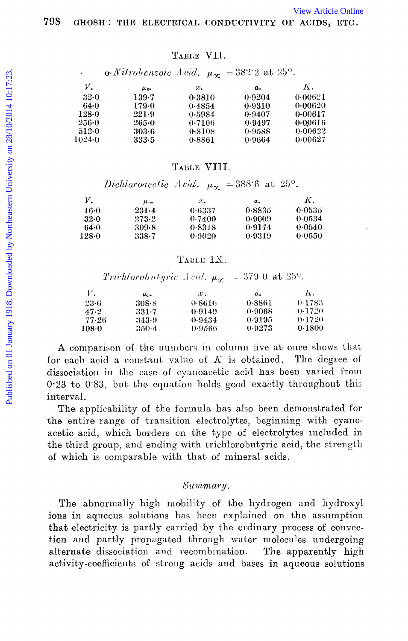## TABLE VII.

 $\alpha$ -Nitrobenzoic Acid.  $\mu_{\alpha}$  = 382.2 at 25°.

| ν.         | $\mu_{v}$ | x.     | α.     | Κ.      |
|------------|-----------|--------|--------|---------|
| 32-0       | 139.7     | 0.3810 | 0.9204 | 0.00621 |
| 64-0       | 179.0     | 0.4854 | 0.9310 | 0.00620 |
| 128-0      | 221.9     | 0.5984 | 0.9407 | 0.00617 |
| $256 - 0$  | 265.0     | 0.7106 | 0.9497 | 0.00616 |
| 512.0      | 303.6     | 0.8108 | 0.9588 | 0.00622 |
| $1024 - 0$ | 333.5     | 0.8861 | 0.9664 | 0.00627 |

### TABLE VIII.

Dichloroacetic Acid.  $\mu_{cr} = 388.6$  at 25°.

| ν.    | μ.,       | x.     | α.     | Κ.     |
|-------|-----------|--------|--------|--------|
| 16.0  | $231 - 4$ | 0-6337 | 0.8835 | 0.0535 |
| 32.0  | 273.2     | 0.7400 | 0-9009 | 0.0534 |
| 64.0  | 309.8     | 0.8318 | 0.9174 | 0.0540 |
| 128.0 | 338.7     | 0.9020 | 0.9319 | 0.0550 |

# TABLE IX.

Trichlorobutgric Acid.  $\mu_{\sigma}$  = 379.0 at 25°.

| ν.      | μ.,     | $x$ .  | α.     | К.     |
|---------|---------|--------|--------|--------|
| 23 G    | $308-8$ | 0-8616 | 0-8861 | 0.1783 |
| 47.2    | 331-7   | 0.9149 | 0.9068 | 0.1720 |
| 77.26   | 343.9   | 0.9434 | 0.9195 | 0.1720 |
| $108-0$ | 350-4   | 0.9566 | 0.9273 | 0.1800 |

A comparison of the numbers in column five at once shows that for each acid a constant value of  $K$  is obtained. The degree of dissociation in the case of cyanoacetic acid has been varied from  $0.23$  to  $0.83$ , but the equation holds good exactly throughout this interval.

The applicability of the formula has also been demonstrated for the entire range of transition electrolytes, beginning with cyanoacetic acid, which borders on the type of electrolytes included in the third group, and ending with trichlorobutyric acid, the strength of which is comparable with that of mineral acids.

### Summary.

The abnormally high mobility of the hydrogen and hydroxyl ions in aqueous solutions has been explained on the assumption that electricity is partly carried by the ordinary process of convection and partly propagated through water molecules undergoing alternate dissociation and recombination. The apparently high activity-coefficients of strong acids and bases in aqueous solutions